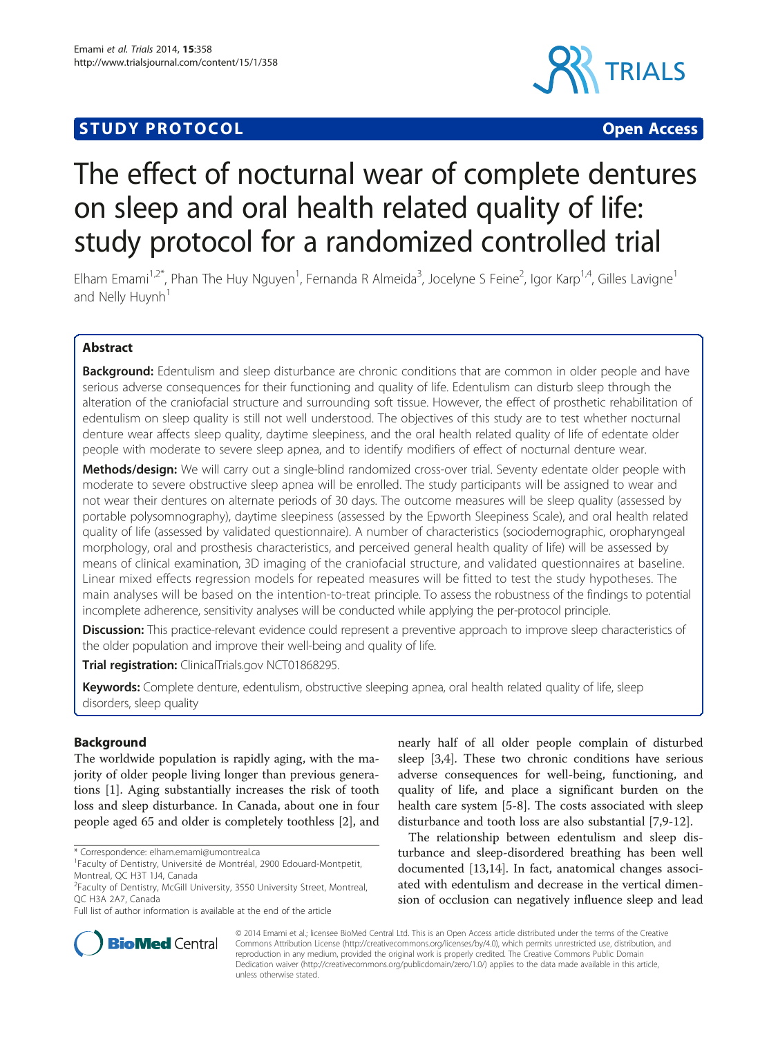# **STUDY PROTOCOL CONSUMING THE CONSUMING OPEN ACCESS**



# The effect of nocturnal wear of complete dentures on sleep and oral health related quality of life: study protocol for a randomized controlled trial

Elham Emami<sup>1,2\*</sup>, Phan The Huy Nguyen<sup>1</sup>, Fernanda R Almeida<sup>3</sup>, Jocelyne S Feine<sup>2</sup>, Igor Karp<sup>1,4</sup>, Gilles Lavigne<sup>1</sup> and Nelly Huynh<sup>1</sup>

# Abstract

**Background:** Edentulism and sleep disturbance are chronic conditions that are common in older people and have serious adverse consequences for their functioning and quality of life. Edentulism can disturb sleep through the alteration of the craniofacial structure and surrounding soft tissue. However, the effect of prosthetic rehabilitation of edentulism on sleep quality is still not well understood. The objectives of this study are to test whether nocturnal denture wear affects sleep quality, daytime sleepiness, and the oral health related quality of life of edentate older people with moderate to severe sleep apnea, and to identify modifiers of effect of nocturnal denture wear.

Methods/design: We will carry out a single-blind randomized cross-over trial. Seventy edentate older people with moderate to severe obstructive sleep apnea will be enrolled. The study participants will be assigned to wear and not wear their dentures on alternate periods of 30 days. The outcome measures will be sleep quality (assessed by portable polysomnography), daytime sleepiness (assessed by the Epworth Sleepiness Scale), and oral health related quality of life (assessed by validated questionnaire). A number of characteristics (sociodemographic, oropharyngeal morphology, oral and prosthesis characteristics, and perceived general health quality of life) will be assessed by means of clinical examination, 3D imaging of the craniofacial structure, and validated questionnaires at baseline. Linear mixed effects regression models for repeated measures will be fitted to test the study hypotheses. The main analyses will be based on the intention-to-treat principle. To assess the robustness of the findings to potential incomplete adherence, sensitivity analyses will be conducted while applying the per-protocol principle.

Discussion: This practice-relevant evidence could represent a preventive approach to improve sleep characteristics of the older population and improve their well-being and quality of life.

Trial registration: ClinicalTrials.gov [NCT01868295](http://www.clinicaltrials.gov/NCT01868295).

Keywords: Complete denture, edentulism, obstructive sleeping apnea, oral health related quality of life, sleep disorders, sleep quality

# Background

The worldwide population is rapidly aging, with the majority of older people living longer than previous generations [[1\]](#page-4-0). Aging substantially increases the risk of tooth loss and sleep disturbance. In Canada, about one in four people aged 65 and older is completely toothless [\[2](#page-4-0)], and

nearly half of all older people complain of disturbed sleep [[3,4\]](#page-4-0). These two chronic conditions have serious adverse consequences for well-being, functioning, and quality of life, and place a significant burden on the health care system [\[5](#page-4-0)-[8\]](#page-4-0). The costs associated with sleep disturbance and tooth loss are also substantial [\[7,9](#page-4-0)-[12](#page-4-0)].

The relationship between edentulism and sleep disturbance and sleep-disordered breathing has been well documented [\[13,14](#page-5-0)]. In fact, anatomical changes associated with edentulism and decrease in the vertical dimension of occlusion can negatively influence sleep and lead



© 2014 Emami et al.; licensee BioMed Central Ltd. This is an Open Access article distributed under the terms of the Creative Commons Attribution License [\(http://creativecommons.org/licenses/by/4.0\)](http://creativecommons.org/licenses/by/4.0), which permits unrestricted use, distribution, and reproduction in any medium, provided the original work is properly credited. The Creative Commons Public Domain Dedication waiver [\(http://creativecommons.org/publicdomain/zero/1.0/](http://creativecommons.org/publicdomain/zero/1.0/)) applies to the data made available in this article, unless otherwise stated.

<sup>\*</sup> Correspondence: [elham.emami@umontreal.ca](mailto:elham.emami@umontreal.ca) <sup>1</sup>

<sup>&</sup>lt;sup>1</sup>Faculty of Dentistry, Université de Montréal, 2900 Edouard-Montpetit, Montreal, QC H3T 1J4, Canada

<sup>&</sup>lt;sup>2</sup> Faculty of Dentistry, McGill University, 3550 University Street, Montreal, QC H3A 2A7, Canada

Full list of author information is available at the end of the article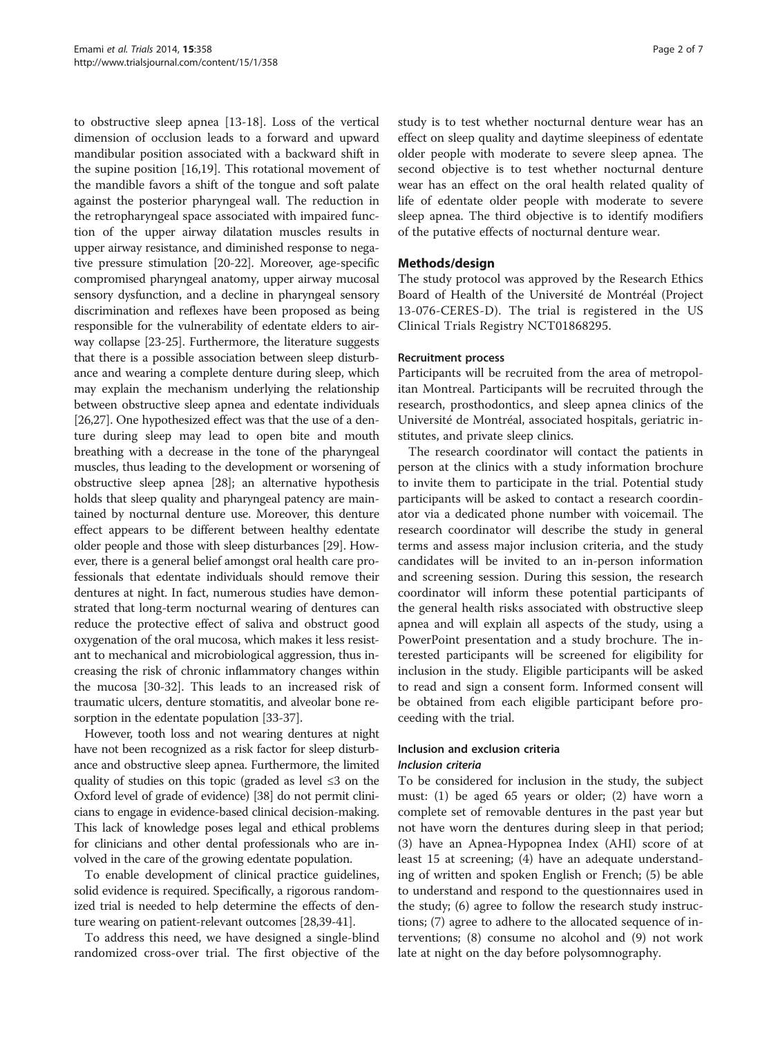to obstructive sleep apnea [\[13](#page-5-0)-[18\]](#page-5-0). Loss of the vertical dimension of occlusion leads to a forward and upward mandibular position associated with a backward shift in the supine position [[16,19\]](#page-5-0). This rotational movement of the mandible favors a shift of the tongue and soft palate against the posterior pharyngeal wall. The reduction in the retropharyngeal space associated with impaired function of the upper airway dilatation muscles results in upper airway resistance, and diminished response to negative pressure stimulation [[20](#page-5-0)-[22](#page-5-0)]. Moreover, age-specific compromised pharyngeal anatomy, upper airway mucosal sensory dysfunction, and a decline in pharyngeal sensory discrimination and reflexes have been proposed as being responsible for the vulnerability of edentate elders to airway collapse [[23](#page-5-0)-[25](#page-5-0)]. Furthermore, the literature suggests that there is a possible association between sleep disturbance and wearing a complete denture during sleep, which may explain the mechanism underlying the relationship between obstructive sleep apnea and edentate individuals [[26,27](#page-5-0)]. One hypothesized effect was that the use of a denture during sleep may lead to open bite and mouth breathing with a decrease in the tone of the pharyngeal muscles, thus leading to the development or worsening of obstructive sleep apnea [[28](#page-5-0)]; an alternative hypothesis holds that sleep quality and pharyngeal patency are maintained by nocturnal denture use. Moreover, this denture effect appears to be different between healthy edentate older people and those with sleep disturbances [\[29\]](#page-5-0). However, there is a general belief amongst oral health care professionals that edentate individuals should remove their dentures at night. In fact, numerous studies have demonstrated that long-term nocturnal wearing of dentures can reduce the protective effect of saliva and obstruct good oxygenation of the oral mucosa, which makes it less resistant to mechanical and microbiological aggression, thus increasing the risk of chronic inflammatory changes within the mucosa [[30-32\]](#page-5-0). This leads to an increased risk of traumatic ulcers, denture stomatitis, and alveolar bone resorption in the edentate population [[33](#page-5-0)-[37\]](#page-5-0).

However, tooth loss and not wearing dentures at night have not been recognized as a risk factor for sleep disturbance and obstructive sleep apnea. Furthermore, the limited quality of studies on this topic (graded as level  $\leq 3$  on the Oxford level of grade of evidence) [\[38](#page-5-0)] do not permit clinicians to engage in evidence-based clinical decision-making. This lack of knowledge poses legal and ethical problems for clinicians and other dental professionals who are involved in the care of the growing edentate population.

To enable development of clinical practice guidelines, solid evidence is required. Specifically, a rigorous randomized trial is needed to help determine the effects of denture wearing on patient-relevant outcomes [[28,39-41](#page-5-0)].

To address this need, we have designed a single-blind randomized cross-over trial. The first objective of the study is to test whether nocturnal denture wear has an effect on sleep quality and daytime sleepiness of edentate older people with moderate to severe sleep apnea. The second objective is to test whether nocturnal denture wear has an effect on the oral health related quality of life of edentate older people with moderate to severe sleep apnea. The third objective is to identify modifiers of the putative effects of nocturnal denture wear.

## Methods/design

The study protocol was approved by the Research Ethics Board of Health of the Université de Montréal (Project 13-076-CERES-D). The trial is registered in the US Clinical Trials Registry [NCT01868295.](http://www.clinicaltrials.gov/NCT01868295)

#### Recruitment process

Participants will be recruited from the area of metropolitan Montreal. Participants will be recruited through the research, prosthodontics, and sleep apnea clinics of the Université de Montréal, associated hospitals, geriatric institutes, and private sleep clinics.

The research coordinator will contact the patients in person at the clinics with a study information brochure to invite them to participate in the trial. Potential study participants will be asked to contact a research coordinator via a dedicated phone number with voicemail. The research coordinator will describe the study in general terms and assess major inclusion criteria, and the study candidates will be invited to an in-person information and screening session. During this session, the research coordinator will inform these potential participants of the general health risks associated with obstructive sleep apnea and will explain all aspects of the study, using a PowerPoint presentation and a study brochure. The interested participants will be screened for eligibility for inclusion in the study. Eligible participants will be asked to read and sign a consent form. Informed consent will be obtained from each eligible participant before proceeding with the trial.

# Inclusion and exclusion criteria

# Inclusion criteria

To be considered for inclusion in the study, the subject must: (1) be aged 65 years or older; (2) have worn a complete set of removable dentures in the past year but not have worn the dentures during sleep in that period; (3) have an Apnea-Hypopnea Index (AHI) score of at least 15 at screening; (4) have an adequate understanding of written and spoken English or French; (5) be able to understand and respond to the questionnaires used in the study; (6) agree to follow the research study instructions; (7) agree to adhere to the allocated sequence of interventions; (8) consume no alcohol and (9) not work late at night on the day before polysomnography.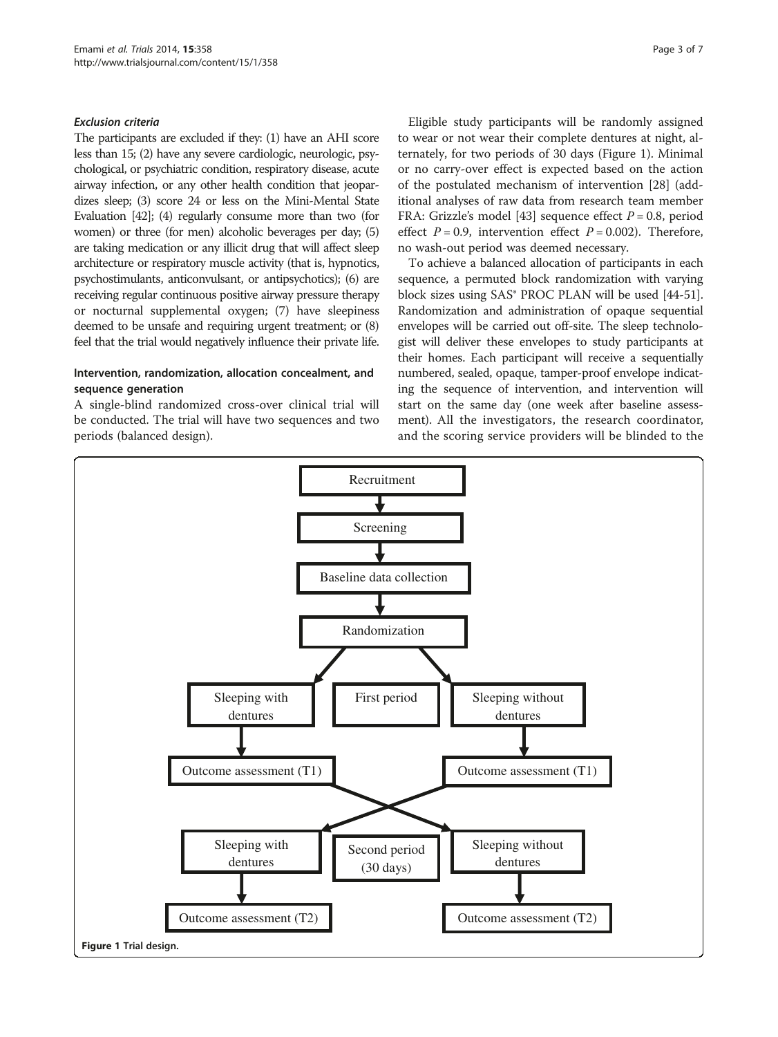#### Exclusion criteria

The participants are excluded if they: (1) have an AHI score less than 15; (2) have any severe cardiologic, neurologic, psychological, or psychiatric condition, respiratory disease, acute airway infection, or any other health condition that jeopardizes sleep; (3) score 24 or less on the Mini-Mental State Evaluation [[42\]](#page-5-0); (4) regularly consume more than two (for women) or three (for men) alcoholic beverages per day; (5) are taking medication or any illicit drug that will affect sleep architecture or respiratory muscle activity (that is, hypnotics, psychostimulants, anticonvulsant, or antipsychotics); (6) are receiving regular continuous positive airway pressure therapy or nocturnal supplemental oxygen; (7) have sleepiness deemed to be unsafe and requiring urgent treatment; or (8) feel that the trial would negatively influence their private life.

## Intervention, randomization, allocation concealment, and sequence generation

A single-blind randomized cross-over clinical trial will be conducted. The trial will have two sequences and two periods (balanced design).

Eligible study participants will be randomly assigned to wear or not wear their complete dentures at night, alternately, for two periods of 30 days (Figure 1). Minimal or no carry-over effect is expected based on the action of the postulated mechanism of intervention [[28\]](#page-5-0) (additional analyses of raw data from research team member FRA: Grizzle's model [[43\]](#page-5-0) sequence effect  $P = 0.8$ , period effect  $P = 0.9$ , intervention effect  $P = 0.002$ ). Therefore, no wash-out period was deemed necessary.

To achieve a balanced allocation of participants in each sequence, a permuted block randomization with varying block sizes using SAS® PROC PLAN will be used [[44](#page-5-0)-[51](#page-5-0)]. Randomization and administration of opaque sequential envelopes will be carried out off-site. The sleep technologist will deliver these envelopes to study participants at their homes. Each participant will receive a sequentially numbered, sealed, opaque, tamper-proof envelope indicating the sequence of intervention, and intervention will start on the same day (one week after baseline assessment). All the investigators, the research coordinator, and the scoring service providers will be blinded to the

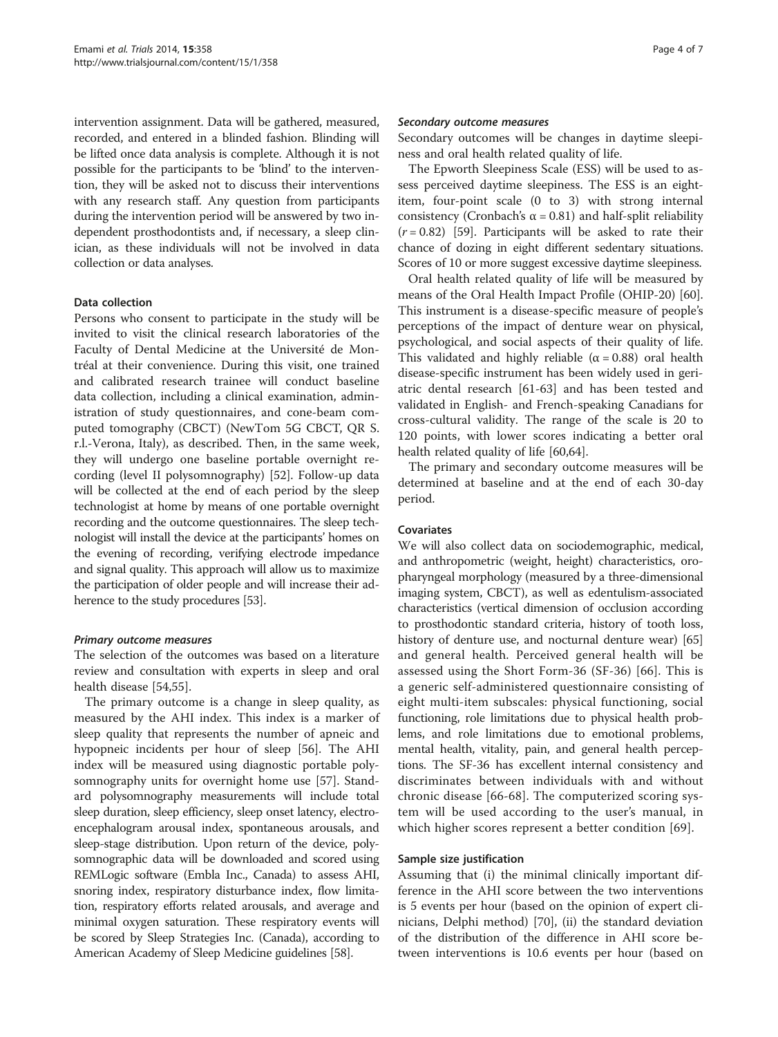intervention assignment. Data will be gathered, measured, recorded, and entered in a blinded fashion. Blinding will be lifted once data analysis is complete. Although it is not possible for the participants to be 'blind' to the intervention, they will be asked not to discuss their interventions with any research staff. Any question from participants during the intervention period will be answered by two independent prosthodontists and, if necessary, a sleep clinician, as these individuals will not be involved in data collection or data analyses.

#### Data collection

Persons who consent to participate in the study will be invited to visit the clinical research laboratories of the Faculty of Dental Medicine at the Université de Montréal at their convenience. During this visit, one trained and calibrated research trainee will conduct baseline data collection, including a clinical examination, administration of study questionnaires, and cone-beam computed tomography (CBCT) (NewTom 5G CBCT, QR S. r.l.-Verona, Italy), as described. Then, in the same week, they will undergo one baseline portable overnight recording (level II polysomnography) [[52](#page-5-0)]. Follow-up data will be collected at the end of each period by the sleep technologist at home by means of one portable overnight recording and the outcome questionnaires. The sleep technologist will install the device at the participants' homes on the evening of recording, verifying electrode impedance and signal quality. This approach will allow us to maximize the participation of older people and will increase their ad-herence to the study procedures [\[53\]](#page-5-0).

#### Primary outcome measures

The selection of the outcomes was based on a literature review and consultation with experts in sleep and oral health disease [[54,55](#page-5-0)].

The primary outcome is a change in sleep quality, as measured by the AHI index. This index is a marker of sleep quality that represents the number of apneic and hypopneic incidents per hour of sleep [\[56\]](#page-5-0). The AHI index will be measured using diagnostic portable polysomnography units for overnight home use [[57\]](#page-5-0). Standard polysomnography measurements will include total sleep duration, sleep efficiency, sleep onset latency, electroencephalogram arousal index, spontaneous arousals, and sleep-stage distribution. Upon return of the device, polysomnographic data will be downloaded and scored using REMLogic software (Embla Inc., Canada) to assess AHI, snoring index, respiratory disturbance index, flow limitation, respiratory efforts related arousals, and average and minimal oxygen saturation. These respiratory events will be scored by Sleep Strategies Inc. (Canada), according to American Academy of Sleep Medicine guidelines [\[58](#page-5-0)].

#### Secondary outcome measures

Secondary outcomes will be changes in daytime sleepiness and oral health related quality of life.

The Epworth Sleepiness Scale (ESS) will be used to assess perceived daytime sleepiness. The ESS is an eightitem, four-point scale (0 to 3) with strong internal consistency (Cronbach's  $\alpha$  = 0.81) and half-split reliability  $(r = 0.82)$  [\[59\]](#page-5-0). Participants will be asked to rate their chance of dozing in eight different sedentary situations. Scores of 10 or more suggest excessive daytime sleepiness.

Oral health related quality of life will be measured by means of the Oral Health Impact Profile (OHIP-20) [\[60](#page-5-0)]. This instrument is a disease-specific measure of people's perceptions of the impact of denture wear on physical, psychological, and social aspects of their quality of life. This validated and highly reliable ( $\alpha = 0.88$ ) oral health disease-specific instrument has been widely used in geriatric dental research [\[61](#page-5-0)-[63](#page-5-0)] and has been tested and validated in English- and French-speaking Canadians for cross-cultural validity. The range of the scale is 20 to 120 points, with lower scores indicating a better oral health related quality of life [\[60](#page-5-0),[64](#page-6-0)].

The primary and secondary outcome measures will be determined at baseline and at the end of each 30-day period.

#### Covariates

We will also collect data on sociodemographic, medical, and anthropometric (weight, height) characteristics, oropharyngeal morphology (measured by a three-dimensional imaging system, CBCT), as well as edentulism-associated characteristics (vertical dimension of occlusion according to prosthodontic standard criteria, history of tooth loss, history of denture use, and nocturnal denture wear) [[65](#page-6-0)] and general health. Perceived general health will be assessed using the Short Form-36 (SF-36) [[66\]](#page-6-0). This is a generic self-administered questionnaire consisting of eight multi-item subscales: physical functioning, social functioning, role limitations due to physical health problems, and role limitations due to emotional problems, mental health, vitality, pain, and general health perceptions. The SF-36 has excellent internal consistency and discriminates between individuals with and without chronic disease [[66-68\]](#page-6-0). The computerized scoring system will be used according to the user's manual, in which higher scores represent a better condition [[69](#page-6-0)].

#### Sample size justification

Assuming that (i) the minimal clinically important difference in the AHI score between the two interventions is 5 events per hour (based on the opinion of expert clinicians, Delphi method) [[70](#page-6-0)], (ii) the standard deviation of the distribution of the difference in AHI score between interventions is 10.6 events per hour (based on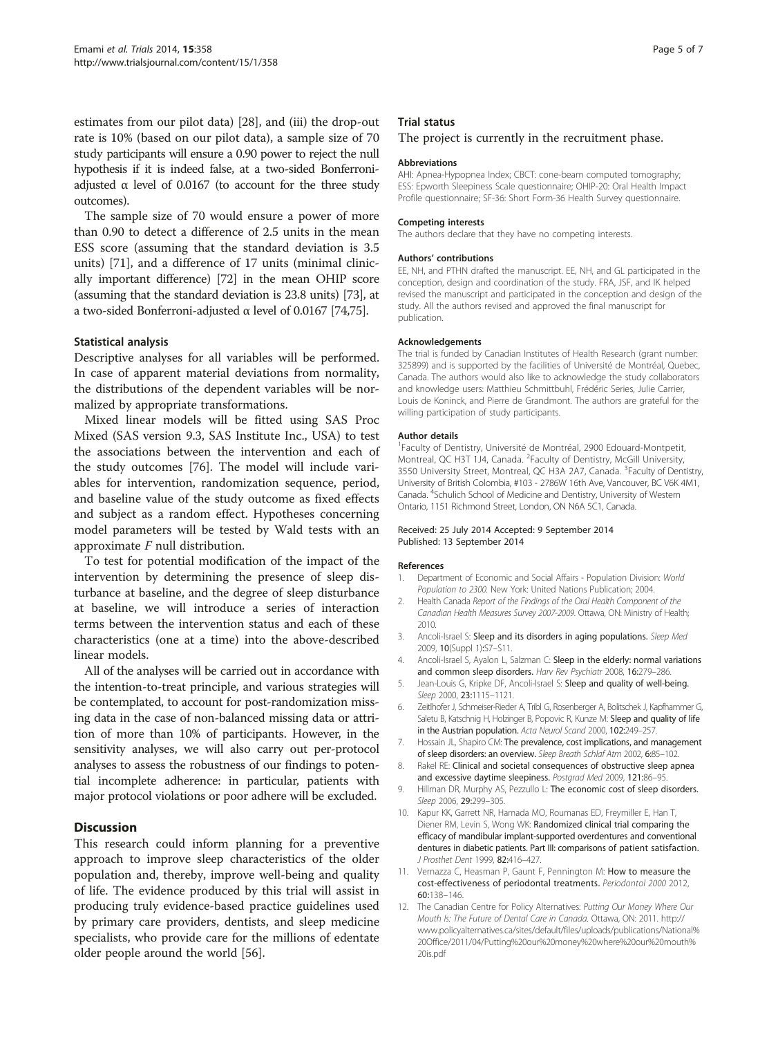<span id="page-4-0"></span>estimates from our pilot data) [\[28](#page-5-0)], and (iii) the drop-out rate is 10% (based on our pilot data), a sample size of 70 study participants will ensure a 0.90 power to reject the null hypothesis if it is indeed false, at a two-sided Bonferroniadjusted  $\alpha$  level of 0.0167 (to account for the three study outcomes).

The sample size of 70 would ensure a power of more than 0.90 to detect a difference of 2.5 units in the mean ESS score (assuming that the standard deviation is 3.5 units) [[71\]](#page-6-0), and a difference of 17 units (minimal clinically important difference) [\[72\]](#page-6-0) in the mean OHIP score (assuming that the standard deviation is 23.8 units) [[73](#page-6-0)], at a two-sided Bonferroni-adjusted α level of 0.0167 [\[74,75](#page-6-0)].

#### Statistical analysis

Descriptive analyses for all variables will be performed. In case of apparent material deviations from normality, the distributions of the dependent variables will be normalized by appropriate transformations.

Mixed linear models will be fitted using SAS Proc Mixed (SAS version 9.3, SAS Institute Inc., USA) to test the associations between the intervention and each of the study outcomes [[76\]](#page-6-0). The model will include variables for intervention, randomization sequence, period, and baseline value of the study outcome as fixed effects and subject as a random effect. Hypotheses concerning model parameters will be tested by Wald tests with an approximate  $F$  null distribution.

To test for potential modification of the impact of the intervention by determining the presence of sleep disturbance at baseline, and the degree of sleep disturbance at baseline, we will introduce a series of interaction terms between the intervention status and each of these characteristics (one at a time) into the above-described linear models.

All of the analyses will be carried out in accordance with the intention-to-treat principle, and various strategies will be contemplated, to account for post-randomization missing data in the case of non-balanced missing data or attrition of more than 10% of participants. However, in the sensitivity analyses, we will also carry out per-protocol analyses to assess the robustness of our findings to potential incomplete adherence: in particular, patients with major protocol violations or poor adhere will be excluded.

## **Discussion**

This research could inform planning for a preventive approach to improve sleep characteristics of the older population and, thereby, improve well-being and quality of life. The evidence produced by this trial will assist in producing truly evidence-based practice guidelines used by primary care providers, dentists, and sleep medicine specialists, who provide care for the millions of edentate older people around the world [[56\]](#page-5-0).

#### Trial status

The project is currently in the recruitment phase.

#### Abbreviations

AHI: Apnea-Hypopnea Index; CBCT: cone-beam computed tomography; ESS: Epworth Sleepiness Scale questionnaire; OHIP-20: Oral Health Impact Profile questionnaire; SF-36: Short Form-36 Health Survey questionnaire.

#### Competing interests

The authors declare that they have no competing interests.

#### Authors' contributions

EE, NH, and PTHN drafted the manuscript. EE, NH, and GL participated in the conception, design and coordination of the study. FRA, JSF, and IK helped revised the manuscript and participated in the conception and design of the study. All the authors revised and approved the final manuscript for publication.

#### Acknowledgements

The trial is funded by Canadian Institutes of Health Research (grant number: 325899) and is supported by the facilities of Université de Montréal, Quebec, Canada. The authors would also like to acknowledge the study collaborators and knowledge users: Matthieu Schmittbuhl, Frédéric Series, Julie Carrier, Louis de Koninck, and Pierre de Grandmont. The authors are grateful for the willing participation of study participants.

#### Author details

<sup>1</sup>Faculty of Dentistry, Université de Montréal, 2900 Edouard-Montpetit, Montreal, QC H3T 1J4, Canada. <sup>2</sup> Faculty of Dentistry, McGill University 3550 University Street, Montreal, QC H3A 2A7, Canada. <sup>3</sup> Faculty of Dentistry University of British Colombia, #103 - 2786W 16th Ave, Vancouver, BC V6K 4M1, Canada. <sup>4</sup>Schulich School of Medicine and Dentistry, University of Western Ontario, 1151 Richmond Street, London, ON N6A 5C1, Canada.

#### Received: 25 July 2014 Accepted: 9 September 2014 Published: 13 September 2014

#### References

- 1. Department of Economic and Social Affairs Population Division: World Population to 2300. New York: United Nations Publication; 2004.
- 2. Health Canada Report of the Findings of the Oral Health Component of the Canadian Health Measures Survey 2007-2009. Ottawa, ON: Ministry of Health; 2010.
- 3. Ancoli-Israel S: Sleep and its disorders in aging populations. Sleep Med 2009, 10(Suppl 1):S7–S11.
- 4. Ancoli-Israel S, Ayalon L, Salzman C: Sleep in the elderly: normal variations and common sleep disorders. Harv Rev Psychiatr 2008, 16:279–286.
- 5. Jean-Louis G, Kripke DF, Ancoli-Israel S: Sleep and quality of well-being. Sleep 2000, 23:1115–1121.
- 6. Zeitlhofer J, Schmeiser-Rieder A, Tribl G, Rosenberger A, Bolitschek J, Kapfhammer G, Saletu B, Katschnig H, Holzinger B, Popovic R, Kunze M: Sleep and quality of life in the Austrian population. Acta Neurol Scand 2000, 102:249-257.
- 7. Hossain JL, Shapiro CM: The prevalence, cost implications, and management of sleep disorders: an overview. Sleep Breath Schlaf Atm 2002, 6:85–102.
- 8. Rakel RE: Clinical and societal consequences of obstructive sleep apnea and excessive daytime sleepiness. Postgrad Med 2009, 121:86–95.
- 9. Hillman DR, Murphy AS, Pezzullo L: The economic cost of sleep disorders. Sleep 2006, 29:299-305.
- 10. Kapur KK, Garrett NR, Hamada MO, Roumanas ED, Freymiller E, Han T, Diener RM, Levin S, Wong WK: Randomized clinical trial comparing the efficacy of mandibular implant-supported overdentures and conventional dentures in diabetic patients. Part III: comparisons of patient satisfaction. J Prosthet Dent 1999, 82:416–427.
- 11. Vernazza C, Heasman P, Gaunt F, Pennington M: How to measure the cost-effectiveness of periodontal treatments. Periodontol 2000 2012, 60:138–146.
- 12. The Canadian Centre for Policy Alternatives: Putting Our Money Where Our Mouth Is: The Future of Dental Care in Canada. Ottawa, ON: 2011. [http://](http://www.policyalternatives.ca/sites/default/files/uploads/publications/National%20Office/2011/04/Putting%20our%20money%20where%20our%20mouth%20is.pdf) [www.policyalternatives.ca/sites/default/files/uploads/publications/National%](http://www.policyalternatives.ca/sites/default/files/uploads/publications/National%20Office/2011/04/Putting%20our%20money%20where%20our%20mouth%20is.pdf) [20Office/2011/04/Putting%20our%20money%20where%20our%20mouth%](http://www.policyalternatives.ca/sites/default/files/uploads/publications/National%20Office/2011/04/Putting%20our%20money%20where%20our%20mouth%20is.pdf) [20is.pdf](http://www.policyalternatives.ca/sites/default/files/uploads/publications/National%20Office/2011/04/Putting%20our%20money%20where%20our%20mouth%20is.pdf)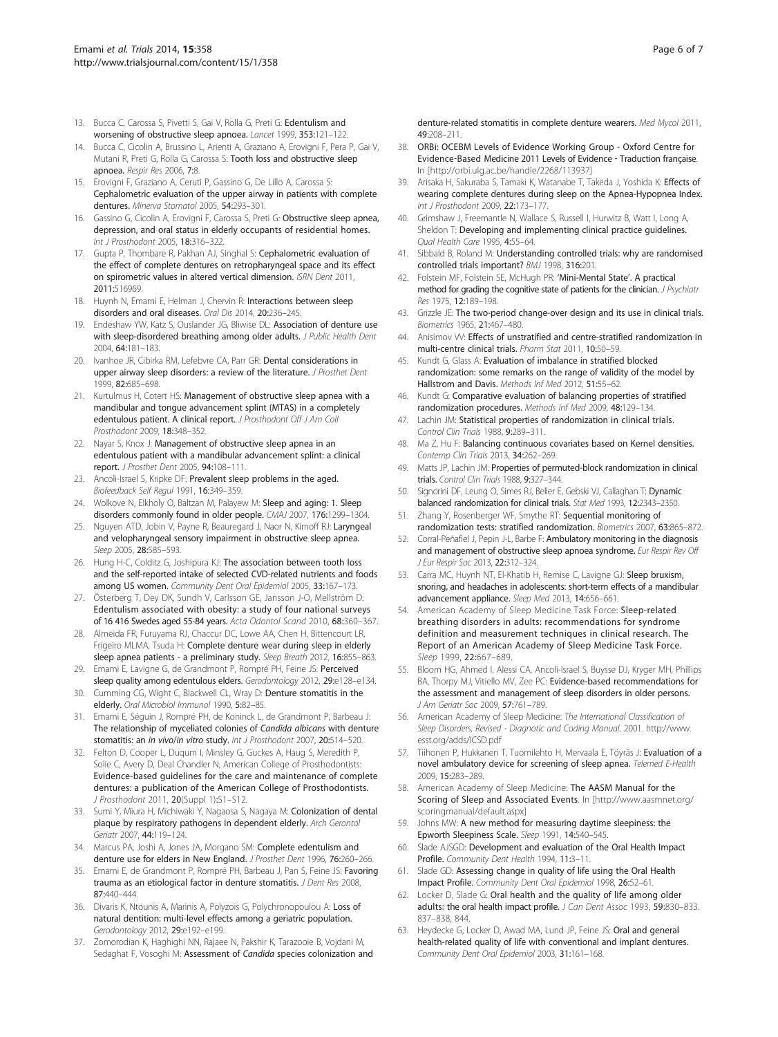- <span id="page-5-0"></span>13. Bucca C, Carossa S, Pivetti S, Gai V, Rolla G, Preti G; Edentulism and worsening of obstructive sleep apnoea. Lancet 1999, 353:121–122.
- 14. Bucca C, Cicolin A, Brussino L, Arienti A, Graziano A, Erovigni F, Pera P, Gai V, Mutani R, Preti G, Rolla G, Carossa S: Tooth loss and obstructive sleep apnoea. Respir Res 2006, 7:8.
- 15. Erovigni F, Graziano A, Ceruti P, Gassino G, De Lillo A, Carossa S: Cephalometric evaluation of the upper airway in patients with complete dentures. Minerva Stomatol 2005, 54:293–301.
- 16. Gassino G, Cicolin A, Erovigni F, Carossa S, Preti G: Obstructive sleep apnea, depression, and oral status in elderly occupants of residential homes. Int J Prosthodont 2005, 18:316–322.
- 17. Gupta P, Thombare R, Pakhan AJ, Singhal S: Cephalometric evaluation of the effect of complete dentures on retropharyngeal space and its effect on spirometric values in altered vertical dimension. ISRN Dent 2011, 2011:516969.
- 18. Huynh N, Emami E, Helman J, Chervin R: Interactions between sleep disorders and oral diseases. Oral Dis 2014, 20:236–245.
- 19. Endeshaw YW, Katz S, Ouslander JG, Bliwise DL: Association of denture use with sleep-disordered breathing among older adults. J Public Health Dent 2004, 64:181–183.
- 20. Ivanhoe JR, Cibirka RM, Lefebvre CA, Parr GR: Dental considerations in upper airway sleep disorders: a review of the literature. J Prosthet Dent 1999, 82:685–698.
- 21. Kurtulmus H, Cotert HS: Management of obstructive sleep apnea with a mandibular and tongue advancement splint (MTAS) in a completely edentulous patient. A clinical report. J Prosthodont Off J Am Coll Prosthodont 2009, 18:348–352.
- 22. Navar S, Knox J: Management of obstructive sleep apnea in an edentulous patient with a mandibular advancement splint: a clinical report. J Prosthet Dent 2005, 94:108–111.
- 23. Ancoli-Israel S, Kripke DF: Prevalent sleep problems in the aged. Biofeedback Self Regul 1991, 16:349–359.
- 24. Wolkove N, Elkholy O, Baltzan M, Palayew M: Sleep and aging: 1. Sleep disorders commonly found in older people. CMAJ 2007, 176:1299–1304.
- 25. Nguyen ATD, Jobin V, Payne R, Beauregard J, Naor N, Kimoff RJ: Laryngeal and velopharyngeal sensory impairment in obstructive sleep apnea. Sleep 2005, 28:585–593.
- 26. Hung H-C, Colditz G, Joshipura KJ: The association between tooth loss and the self-reported intake of selected CVD-related nutrients and foods among US women. Community Dent Oral Epidemiol 2005, 33:167-173.
- 27. Österberg T, Dey DK, Sundh V, Carlsson GE, Jansson J-O, Mellström D: Edentulism associated with obesity: a study of four national surveys of 16 416 Swedes aged 55-84 years. Acta Odontol Scand 2010, 68:360–367.
- 28. Almeida FR, Furuyama RJ, Chaccur DC, Lowe AA, Chen H, Bittencourt LR, Frigeiro MLMA, Tsuda H: Complete denture wear during sleep in elderly sleep apnea patients - a preliminary study. Sleep Breath 2012, 16:855-863.
- 29. Emami E, Lavigne G, de Grandmont P, Rompré PH, Feine JS: Perceived sleep quality among edentulous elders. Gerodontology 2012, 29:e128–e134.
- 30. Cumming CG, Wight C, Blackwell CL, Wray D: Denture stomatitis in the elderly. Oral Microbiol Immunol 1990, 5:82–85.
- 31. Emami E, Séguin J, Rompré PH, de Koninck L, de Grandmont P, Barbeau J: The relationship of myceliated colonies of Candida albicans with denture stomatitis: an in vivo/in vitro study. Int J Prosthodont 2007, 20:514-520.
- 32. Felton D, Cooper L, Duqum I, Minsley G, Guckes A, Haug S, Meredith P, Solie C, Avery D, Deal Chandler N, American College of Prosthodontists: Evidence-based guidelines for the care and maintenance of complete dentures: a publication of the American College of Prosthodontists. J Prosthodont 2011, 20(Suppl 1):S1-S12.
- 33. Sumi Y, Miura H, Michiwaki Y, Nagaosa S, Nagaya M: Colonization of dental plaque by respiratory pathogens in dependent elderly. Arch Gerontol Geriatr 2007, 44:119–124.
- 34. Marcus PA, Joshi A, Jones JA, Morgano SM: Complete edentulism and denture use for elders in New England. J Prosthet Dent 1996, 76:260-266.
- 35. Emami E, de Grandmont P, Rompré PH, Barbeau J, Pan S, Feine JS: Favoring trauma as an etiological factor in denture stomatitis. J Dent Res 2008, 87:440–444.
- 36. Divaris K, Ntounis A, Marinis A, Polyzois G, Polychronopoulou A: Loss of natural dentition: multi-level effects among a geriatric population. Gerodontology 2012, 29:e192–e199.
- 37. Zomorodian K, Haghighi NN, Rajaee N, Pakshir K, Tarazooie B, Vojdani M, Sedaghat F, Vosoghi M: Assessment of Candida species colonization and

denture-related stomatitis in complete denture wearers. Med Mycol 2011, 49:208–211.

- 38. ORBi: OCEBM Levels of Evidence Working Group Oxford Centre for Evidence‐Based Medicine 2011 Levels of Evidence ‐ Traduction française. In [\[http://orbi.ulg.ac.be/handle/2268/113937\]](http://orbi.ulg.ac.be/handle/2268/113937)
- 39. Arisaka H, Sakuraba S, Tamaki K, Watanabe T, Takeda J, Yoshida K: Effects of wearing complete dentures during sleep on the Apnea-Hypopnea Index. Int J Prosthodont 2009, 22:173–177.
- 40. Grimshaw J, Freemantle N, Wallace S, Russell I, Hurwitz B, Watt I, Long A, Sheldon T: Developing and implementing clinical practice guidelines. Qual Health Care 1995, 4:55–64.
- 41. Sibbald B, Roland M: Understanding controlled trials: why are randomised controlled trials important? BMJ 1998, 316:201.
- 42. Folstein MF, Folstein SE, McHugh PR: 'Mini-Mental State'. A practical method for grading the cognitive state of patients for the clinician. J Psychiatr Res 1975, 12:189–198.
- 43. Grizzle JE: The two-period change-over design and its use in clinical trials. Biometrics 1965, 21:467–480.
- 44. Anisimov VV: Effects of unstratified and centre-stratified randomization in multi-centre clinical trials. Pharm Stat 2011, 10:50–59.
- 45. Kundt G, Glass A: Evaluation of imbalance in stratified blocked randomization: some remarks on the range of validity of the model by Hallstrom and Davis. Methods Inf Med 2012, 51:55–62.
- 46. Kundt G: Comparative evaluation of balancing properties of stratified randomization procedures. Methods Inf Med 2009, 48:129–134.
- 47. Lachin JM: Statistical properties of randomization in clinical trials. Control Clin Trials 1988, 9:289–311.
- 48. Ma Z, Hu F: Balancing continuous covariates based on Kernel densities. Contemp Clin Trials 2013, 34:262-269.
- 49. Matts JP, Lachin JM: Properties of permuted-block randomization in clinical trials. Control Clin Trials 1988, 9:327–344.
- 50. Signorini DF, Leung O, Simes RJ, Beller E, Gebski VJ, Callaghan T: Dynamic balanced randomization for clinical trials. Stat Med 1993, 12:2343–2350.
- 51. Zhang Y, Rosenberger WF, Smythe RT: Sequential monitoring of randomization tests: stratified randomization. Biometrics 2007, 63:865–872.
- 52. Corral-Peñafiel J, Pepin J-L, Barbe F: Ambulatory monitoring in the diagnosis and management of obstructive sleep apnoea syndrome. Eur Respir Rev Off J Eur Respir Soc 2013, 22:312–324.
- 53. Carra MC, Huynh NT, El-Khatib H, Remise C, Lavigne GJ: Sleep bruxism, snoring, and headaches in adolescents: short-term effects of a mandibular advancement appliance. Sleep Med 2013, 14:656–661.
- 54. American Academy of Sleep Medicine Task Force: Sleep-related breathing disorders in adults: recommendations for syndrome definition and measurement techniques in clinical research. The Report of an American Academy of Sleep Medicine Task Force. Sleep 1999, 22:667–689.
- 55. Bloom HG, Ahmed I, Alessi CA, Ancoli-Israel S, Buysse DJ, Kryger MH, Phillips BA, Thorpy MJ, Vitiello MV, Zee PC: Evidence-based recommendations for the assessment and management of sleep disorders in older persons. J Am Geriatr Soc 2009, 57:761-789.
- 56. American Academy of Sleep Medicine: The International Classification of Sleep Disorders, Revised - Diagnotic and Coding Manual. 2001. [http://www.](http://www.esst.org/adds/ICSD.pdf) [esst.org/adds/ICSD.pdf](http://www.esst.org/adds/ICSD.pdf)
- 57. Tiihonen P, Hukkanen T, Tuomilehto H, Mervaala E, Töyräs J: Evaluation of a novel ambulatory device for screening of sleep apnea. Telemed E-Health 2009, 15:283–289.
- 58. American Academy of Sleep Medicine: The AASM Manual for the Scoring of Sleep and Associated Events. In [[http://www.aasmnet.org/](http://www.aasmnet.org/scoringmanual/default.aspx) [scoringmanual/default.aspx](http://www.aasmnet.org/scoringmanual/default.aspx)]
- 59. Johns MW: A new method for measuring daytime sleepiness: the Epworth Sleepiness Scale. Sleep 1991, 14:540–545.
- 60. Slade AJSGD: Development and evaluation of the Oral Health Impact Profile. Community Dent Health 1994, 11:3–11.
- 61. Slade GD: Assessing change in quality of life using the Oral Health Impact Profile. Community Dent Oral Epidemiol 1998, 26:52–61.
- 62. Locker D, Slade G: Oral health and the quality of life among older adults: the oral health impact profile. J Can Dent Assoc 1993, 59:830-833. 837–838, 844.
- 63. Heydecke G, Locker D, Awad MA, Lund JP, Feine JS: Oral and general health-related quality of life with conventional and implant dentures. Community Dent Oral Epidemiol 2003, 31:161–168.